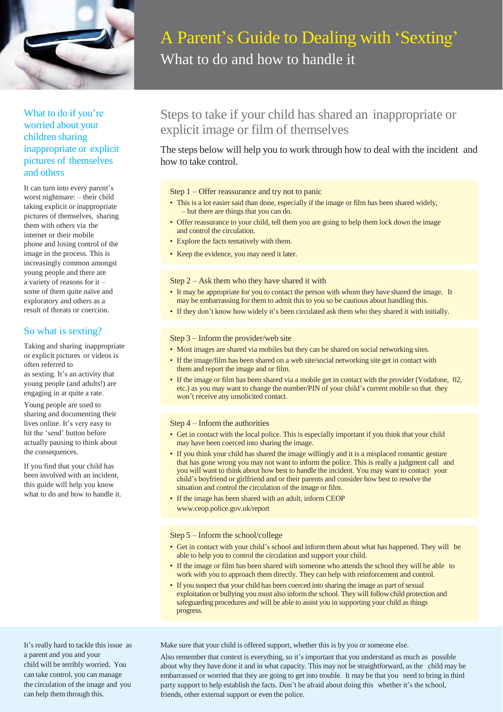

# What to do if you're worried about your children sharing inappropriate or explicit pictures of themselves and others

It can turn into every parent's worst nightmare: – their child taking explicit or inappropriate pictures of themselves, sharing them with others via the internet or their mobile phone and losing control of the image in the process. This is increasingly common amongst young people and there are a variety of reasons for it – some of them quite naïve and exploratory and others as a result of threats or coercion.

### So what is sexting?

Taking and sharing inappropriate or explicit pictures or videos is often referred to as sexting. It's an activity that young people (and adults!) are engaging in at quite a rate.

Young people are used to sharing and documenting their lives online. It's very easy to hit the 'send' button before actually pausing to think about the consequences.

If you find that your child has been involved with an incident, this guide will help you know what to do and how to handle it.

# A Parent's Guide to Dealing with 'Sexting' What to do and how to handle it

# Steps to take if your child has shared an inappropriate or explicit image or film of themselves

The steps below will help you to work through how to deal with the incident and how to take control.

#### Step 1 – Offer reassurance and try not to panic

- This is a lot easier said than done, especially if the image or film has been shared widely, – but there are things that you can do.
- Offer reassurance to your child, tell them you are going to help them lock down the image and control the circulation.
- Explore the facts tentatively with them.
- Keep the evidence, you may need it later.

#### Step 2 – Ask them who they have shared it with

- It may be appropriate for you to contact the person with whom they have shared the image. It may be embarrassing for them to admit this to you so be cautious about handling this.
- If they don't know how widely it's been circulated ask them who they shared it with initially.

#### Step 3 – Inform the provider/web site

- Most images are shared via mobiles but they can be shared on social networking sites.
- If the image/film has been shared on a web site/social networking site get in contact with them and report the image and or film.
- If the image or film has been shared via a mobile get in contact with the provider (Vodafone, 02, etc.) as you may want to change the number/PIN of your child's current mobile so that they won't receive any unsolicited contact.

#### Step 4 – Inform the authorities

- Get in contact with the local police. This is especially important if you think that your child may have been coerced into sharing the image.
- If you think your child has shared the image willingly and it is a misplaced romantic gesture that has gone wrong you may not want to inform the police. This is really a judgment call and you will want to think about how best to handle the incident. You may want to contact your child's boyfriend or girlfriend and or their parents and consider how best to resolve the situation and control the circulation of the image or film.
- If the image has been shared with an adult, inform CEOP [www.ceop.police.gov.uk/report](http://www.ceop.police.gov.uk/report)

#### Step 5 – Inform the school/college

- Get in contact with your child's school and inform them about what has happened. They will be able to help you to control the circulation and support your child.
- If the image or film has been shared with someone who attends the school they will be able to work with you to approach them directly. They can help with reinforcement and control.
- If you suspect that your child has been coerced into sharing the image as part of sexual exploitation or bullying you must also inform the school. They will follow child protection and safeguarding procedures and will be able to assist you in supporting your child as things progress.

Make sure that your child is offered support, whether this is by you or someone else.

Also remember that context is everything, so it's important that you understand as much as possible about why they have done it and in what capacity. This may not be straightforward, as the child may be embarrassed or worried that they are going to get into trouble. It may be that you need to bring in third party support to help establish the facts. Don't be afraid about doing this whether it's the school, friends, other external support or even the police.

It's really hard to tackle this issue as a parent and you and your child will be terribly worried. You can take control, you can manage the circulation of the image and you can help them through this.